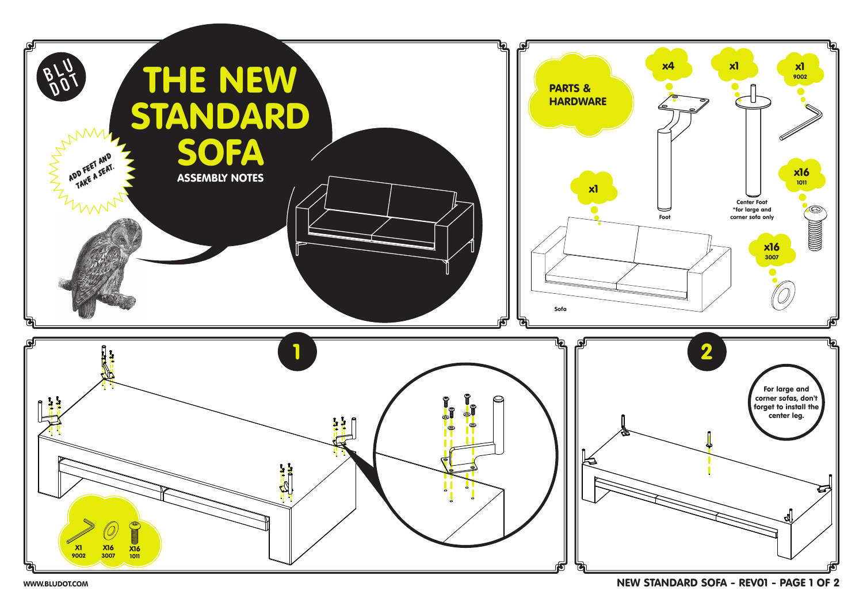